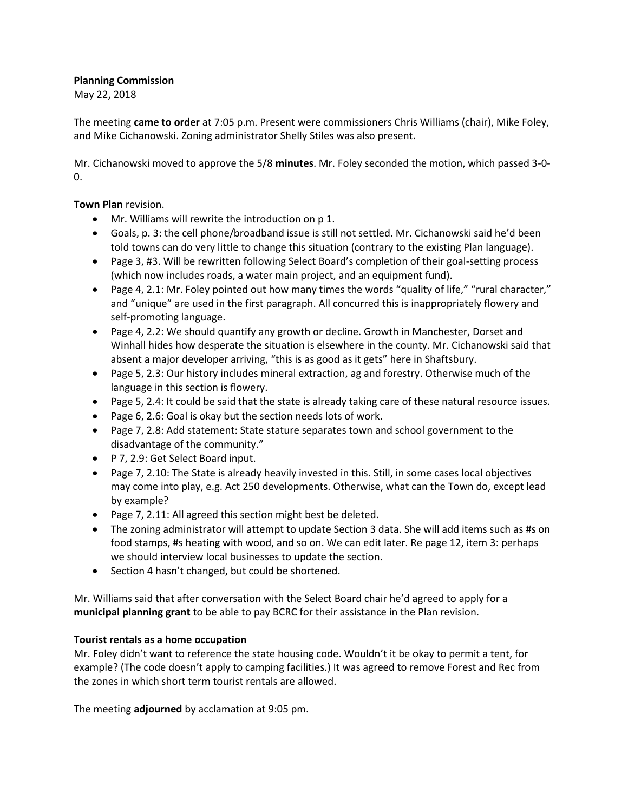## **Planning Commission**

May 22, 2018

The meeting **came to order** at 7:05 p.m. Present were commissioners Chris Williams (chair), Mike Foley, and Mike Cichanowski. Zoning administrator Shelly Stiles was also present.

Mr. Cichanowski moved to approve the 5/8 **minutes**. Mr. Foley seconded the motion, which passed 3-0-  $\Omega$ .

**Town Plan** revision.

- Mr. Williams will rewrite the introduction on p 1.
- Goals, p. 3: the cell phone/broadband issue is still not settled. Mr. Cichanowski said he'd been told towns can do very little to change this situation (contrary to the existing Plan language).
- Page 3, #3. Will be rewritten following Select Board's completion of their goal-setting process (which now includes roads, a water main project, and an equipment fund).
- Page 4, 2.1: Mr. Foley pointed out how many times the words "quality of life," "rural character," and "unique" are used in the first paragraph. All concurred this is inappropriately flowery and self-promoting language.
- Page 4, 2.2: We should quantify any growth or decline. Growth in Manchester, Dorset and Winhall hides how desperate the situation is elsewhere in the county. Mr. Cichanowski said that absent a major developer arriving, "this is as good as it gets" here in Shaftsbury.
- Page 5, 2.3: Our history includes mineral extraction, ag and forestry. Otherwise much of the language in this section is flowery.
- Page 5, 2.4: It could be said that the state is already taking care of these natural resource issues.
- Page 6, 2.6: Goal is okay but the section needs lots of work.
- Page 7, 2.8: Add statement: State stature separates town and school government to the disadvantage of the community."
- P 7, 2.9: Get Select Board input.
- Page 7, 2.10: The State is already heavily invested in this. Still, in some cases local objectives may come into play, e.g. Act 250 developments. Otherwise, what can the Town do, except lead by example?
- Page 7, 2.11: All agreed this section might best be deleted.
- The zoning administrator will attempt to update Section 3 data. She will add items such as #s on food stamps, #s heating with wood, and so on. We can edit later. Re page 12, item 3: perhaps we should interview local businesses to update the section.
- Section 4 hasn't changed, but could be shortened.

Mr. Williams said that after conversation with the Select Board chair he'd agreed to apply for a **municipal planning grant** to be able to pay BCRC for their assistance in the Plan revision.

## **Tourist rentals as a home occupation**

Mr. Foley didn't want to reference the state housing code. Wouldn't it be okay to permit a tent, for example? (The code doesn't apply to camping facilities.) It was agreed to remove Forest and Rec from the zones in which short term tourist rentals are allowed.

The meeting **adjourned** by acclamation at 9:05 pm.